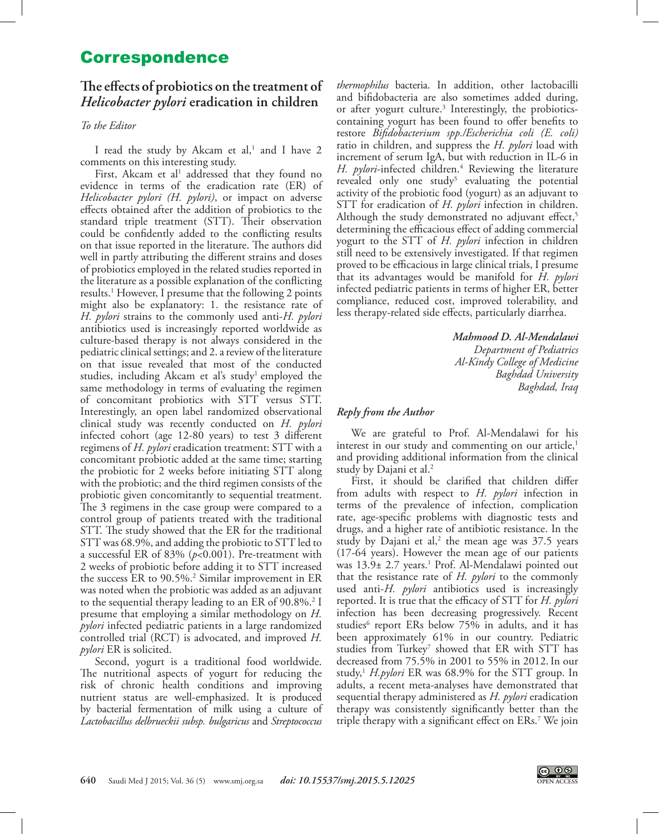# Correspondence

## **The effects of probiotics on the treatment of**  *Helicobacter pylori* **eradication in children**

#### *To the Editor*

I read the study by Akcam et al,<sup>[1](#page-1-0)</sup> and I have 2 comments on this interesting study.

First, Akcam et al<sup>1</sup> addressed that they found no evidence in terms of the eradication rate (ER) of *Helicobacter pylori (H. pylori)*, or impact on adverse effects obtained after the addition of probiotics to the standard triple treatment (STT). Their observation could be confidently added to the conflicting results on that issue reported in the literature. The authors did well in partly attributing the different strains and doses of probiotics employed in the related studies reported in the literature as a possible explanation of the conflicting results[.1](#page-1-0) However, I presume that the following 2 points might also be explanatory: 1. the resistance rate of *H. pylori* strains to the commonly used anti-*H. pylori*  antibiotics used is increasingly reported worldwide as culture-based therapy is not always considered in the pediatric clinical settings; and 2. a review of the literature on that issue revealed that most of the conducted studies, including Akcam et al's study<sup>1</sup> employed the same methodology in terms of evaluating the regimen of concomitant probiotics with STT versus STT. Interestingly, an open label randomized observational clinical study was recently conducted on *H. pylori*  infected cohort (age 12-80 years) to test 3 different regimens of *H. pylori* eradication treatment: STT with a concomitant probiotic added at the same time; starting the probiotic for 2 weeks before initiating STT along with the probiotic; and the third regimen consists of the probiotic given concomitantly to sequential treatment. The 3 regimens in the case group were compared to a control group of patients treated with the traditional STT. The study showed that the ER for the traditional STT was 68.9%, and adding the probiotic to STT led to a successful ER of 83% (*p*<0.001). Pre-treatment with 2 weeks of probiotic before adding it to STT increased the success ER to 90.5%[.2](#page-1-1) Similar improvement in ER was noted when the probiotic was added as an adjuvant to the sequential therapy leading to an ER of 90.8%.<sup>[2](#page-1-1)</sup> I presume that employing a similar methodology on *H. pylori* infected pediatric patients in a large randomized controlled trial (RCT) is advocated, and improved *H. pylori* ER is solicited.

Second, yogurt is a traditional food worldwide. The nutritional aspects of yogurt for reducing the risk of chronic health conditions and improving nutrient status are well-emphasized. It is produced by bacterial fermentation of milk using a culture of *Lactobacillus delbrueckii subsp. bulgaricus* and *Streptococcus* 

*thermophilus* bacteria. In addition, other lactobacilli and bifidobacteria are also sometimes added during, or after yogurt culture.<sup>3</sup> Interestingly, the probioticscontaining yogurt has been found to offer benefits to restore *Bifidobacterium spp./Escherichia coli (E. coli)* ratio in children, and suppress the *H. pylori* load with increment of serum IgA, but with reduction in IL‐6 in H. *pylori*-infected children.<sup>4</sup> Reviewing the literature revealed only one study<sup>5</sup> evaluating the potential activity of the probiotic food (yogurt) as an adjuvant to STT for eradication of *H. pylori* infection in children. Although the study demonstrated no adjuvant effect,<sup>5</sup> determining the efficacious effect of adding commercial yogurt to the STT of *H. pylori* infection in children still need to be extensively investigated. If that regimen proved to be efficacious in large clinical trials, I presume that its advantages would be manifold for *H. pylori*  infected pediatric patients in terms of higher ER, better compliance, reduced cost, improved tolerability, and less therapy-related side effects, particularly diarrhea.

> *Mahmood D. Al-Mendalawi Department of Pediatrics Al-Kindy College of Medicine Baghdad University Baghdad, Iraq*

#### *Reply from the Author*

We are grateful to Prof. Al-Mendalawi for his interest in our study and commenting on our article, $<sup>1</sup>$ </sup> and providing additional information from the clinical study by Dajani et al.<sup>2</sup>

First, it should be clarified that children differ from adults with respect to *H. pylori* infection in terms of the prevalence of infection, complication rate, age-specific problems with diagnostic tests and drugs, and a higher rate of antibiotic resistance. In the study by Dajani et al,<sup>[2](#page-1-1)</sup> the mean age was  $37.5$  years (17-64 years). However the mean age of our patients was [1](#page-1-0)3.9± 2.7 years.<sup>1</sup> Prof. Al-Mendalawi pointed out that the resistance rate of *H. pylori* to the commonly used anti-*H. pylori* antibiotics used is increasingly reported. It is true that the efficacy of STT for *H. pylori* infection has been decreasing progressively. Recent studies<sup>[6](#page-1-5)</sup> report ERs below 75% in adults, and it has been approximately 61% in our country. Pediatric studies from Turkey<sup>[7](#page-1-6)</sup> showed that ER with STT has decreased from 75.5% in 2001 to 55% in 2012.In our study,<sup>[1](#page-1-0)</sup> H.pylori ER was 68.9% for the STT group. In adults, a recent meta-analyses have demonstrated that sequential therapy administered as *H. pylori* eradication therapy was consistently significantly better than the triple therapy with a significant effect on ERs[.7](#page-1-6) We join